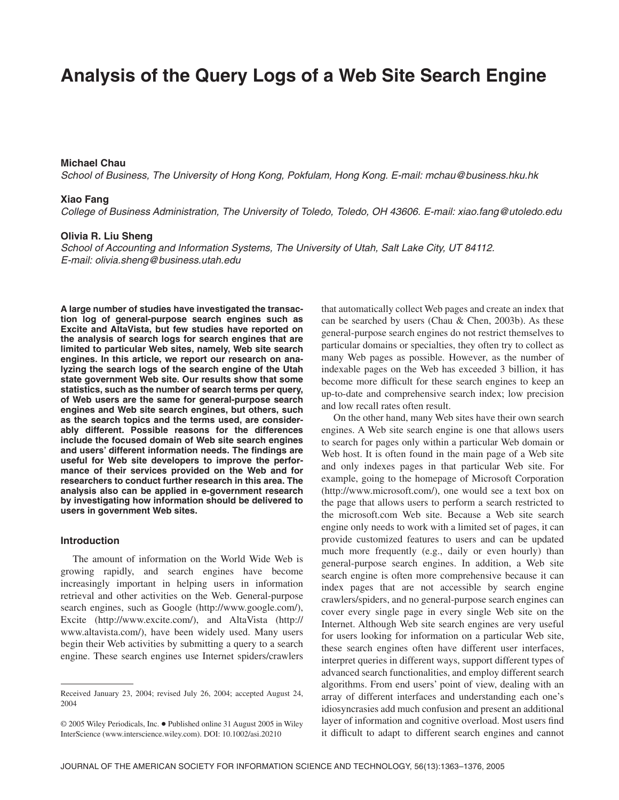# **Analysis of the Query Logs of a Web Site Search Engine**

# **Michael Chau**

School of Business, The University of Hong Kong, Pokfulam, Hong Kong. E-mail: mchau@business.hku.hk

# **Xiao Fang**

College of Business Administration, The University of Toledo, Toledo, OH 43606. E-mail: xiao.fang@utoledo.edu

# **Olivia R. Liu Sheng**

School of Accounting and Information Systems, The University of Utah, Salt Lake City, UT 84112. E-mail: olivia.sheng@business.utah.edu

**A large number of studies have investigated the transaction log of general-purpose search engines such as Excite and AltaVista, but few studies have reported on the analysis of search logs for search engines that are limited to particular Web sites, namely, Web site search engines. In this article, we report our research on analyzing the search logs of the search engine of the Utah state government Web site. Our results show that some statistics, such as the number of search terms per query, of Web users are the same for general-purpose search engines and Web site search engines, but others, such as the search topics and the terms used, are considerably different. Possible reasons for the differences include the focused domain of Web site search engines and users' different information needs. The findings are useful for Web site developers to improve the performance of their services provided on the Web and for researchers to conduct further research in this area. The analysis also can be applied in e-government research by investigating how information should be delivered to users in government Web sites.**

#### **Introduction**

The amount of information on the World Wide Web is growing rapidly, and search engines have become increasingly important in helping users in information retrieval and other activities on the Web. General-purpose search engines, such as Google (http://www.google.com/), Excite (http://www.excite.com/), and AltaVista (http:// www.altavista.com/), have been widely used. Many users begin their Web activities by submitting a query to a search engine. These search engines use Internet spiders/crawlers

that automatically collect Web pages and create an index that can be searched by users (Chau & Chen, 2003b). As these general-purpose search engines do not restrict themselves to particular domains or specialties, they often try to collect as many Web pages as possible. However, as the number of indexable pages on the Web has exceeded 3 billion, it has become more difficult for these search engines to keep an up-to-date and comprehensive search index; low precision and low recall rates often result.

On the other hand, many Web sites have their own search engines. A Web site search engine is one that allows users to search for pages only within a particular Web domain or Web host. It is often found in the main page of a Web site and only indexes pages in that particular Web site. For example, going to the homepage of Microsoft Corporation (http://www.microsoft.com/), one would see a text box on the page that allows users to perform a search restricted to the microsoft.com Web site. Because a Web site search engine only needs to work with a limited set of pages, it can provide customized features to users and can be updated much more frequently (e.g., daily or even hourly) than general-purpose search engines. In addition, a Web site search engine is often more comprehensive because it can index pages that are not accessible by search engine crawlers/spiders, and no general-purpose search engines can cover every single page in every single Web site on the Internet. Although Web site search engines are very useful for users looking for information on a particular Web site, these search engines often have different user interfaces, interpret queries in different ways, support different types of advanced search functionalities, and employ different search algorithms. From end users' point of view, dealing with an array of different interfaces and understanding each one's idiosyncrasies add much confusion and present an additional layer of information and cognitive overload. Most users find it difficult to adapt to different search engines and cannot

Received January 23, 2004; revised July 26, 2004; accepted August 24, 2004

<sup>© 2005</sup> Wiley Periodicals, Inc. • Published online 31 August 2005 in Wiley InterScience (www.interscience.wiley.com). DOI: 10.1002/asi.20210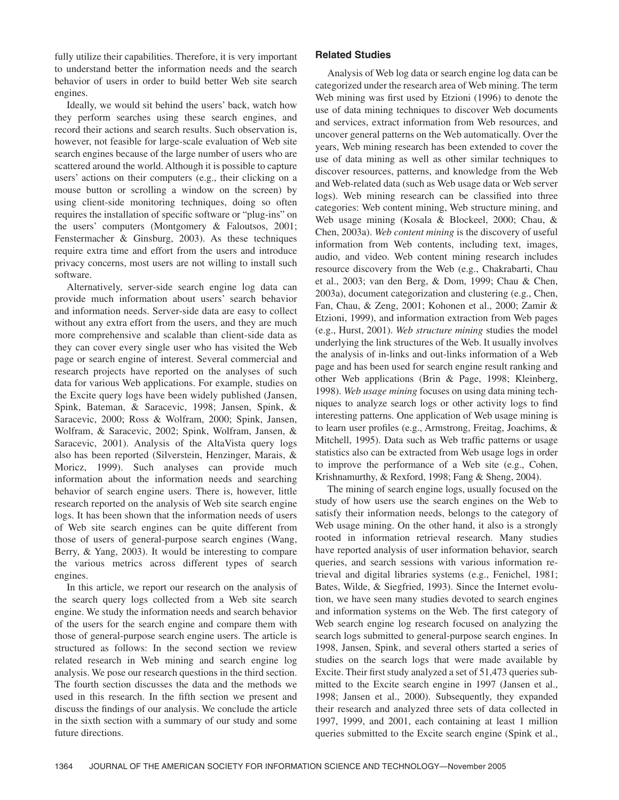fully utilize their capabilities. Therefore, it is very important to understand better the information needs and the search behavior of users in order to build better Web site search engines.

Ideally, we would sit behind the users' back, watch how they perform searches using these search engines, and record their actions and search results. Such observation is, however, not feasible for large-scale evaluation of Web site search engines because of the large number of users who are scattered around the world. Although it is possible to capture users' actions on their computers (e.g., their clicking on a mouse button or scrolling a window on the screen) by using client-side monitoring techniques, doing so often requires the installation of specific software or "plug-ins" on the users' computers (Montgomery & Faloutsos, 2001; Fenstermacher & Ginsburg, 2003). As these techniques require extra time and effort from the users and introduce privacy concerns, most users are not willing to install such software.

Alternatively, server-side search engine log data can provide much information about users' search behavior and information needs. Server-side data are easy to collect without any extra effort from the users, and they are much more comprehensive and scalable than client-side data as they can cover every single user who has visited the Web page or search engine of interest. Several commercial and research projects have reported on the analyses of such data for various Web applications. For example, studies on the Excite query logs have been widely published (Jansen, Spink, Bateman, & Saracevic, 1998; Jansen, Spink, & Saracevic, 2000; Ross & Wolfram, 2000; Spink, Jansen, Wolfram, & Saracevic, 2002; Spink, Wolfram, Jansen, & Saracevic, 2001). Analysis of the AltaVista query logs also has been reported (Silverstein, Henzinger, Marais, & Moricz, 1999). Such analyses can provide much information about the information needs and searching behavior of search engine users. There is, however, little research reported on the analysis of Web site search engine logs. It has been shown that the information needs of users of Web site search engines can be quite different from those of users of general-purpose search engines (Wang, Berry, & Yang, 2003). It would be interesting to compare the various metrics across different types of search engines.

In this article, we report our research on the analysis of the search query logs collected from a Web site search engine. We study the information needs and search behavior of the users for the search engine and compare them with those of general-purpose search engine users. The article is structured as follows: In the second section we review related research in Web mining and search engine log analysis. We pose our research questions in the third section. The fourth section discusses the data and the methods we used in this research. In the fifth section we present and discuss the findings of our analysis. We conclude the article in the sixth section with a summary of our study and some future directions.

# **Related Studies**

Analysis of Web log data or search engine log data can be categorized under the research area of Web mining. The term Web mining was first used by Etzioni (1996) to denote the use of data mining techniques to discover Web documents and services, extract information from Web resources, and uncover general patterns on the Web automatically. Over the years, Web mining research has been extended to cover the use of data mining as well as other similar techniques to discover resources, patterns, and knowledge from the Web and Web-related data (such as Web usage data or Web server logs). Web mining research can be classified into three categories: Web content mining, Web structure mining, and Web usage mining (Kosala & Blockeel, 2000; Chau, & Chen, 2003a). *Web content mining* is the discovery of useful information from Web contents, including text, images, audio, and video. Web content mining research includes resource discovery from the Web (e.g., Chakrabarti, Chau et al., 2003; van den Berg, & Dom, 1999; Chau & Chen, 2003a), document categorization and clustering (e.g., Chen, Fan, Chau, & Zeng, 2001; Kohonen et al., 2000; Zamir & Etzioni, 1999), and information extraction from Web pages (e.g., Hurst, 2001). *Web structure mining* studies the model underlying the link structures of the Web. It usually involves the analysis of in-links and out-links information of a Web page and has been used for search engine result ranking and other Web applications (Brin & Page, 1998; Kleinberg, 1998). *Web usage mining* focuses on using data mining techniques to analyze search logs or other activity logs to find interesting patterns. One application of Web usage mining is to learn user profiles (e.g., Armstrong, Freitag, Joachims, & Mitchell, 1995). Data such as Web traffic patterns or usage statistics also can be extracted from Web usage logs in order to improve the performance of a Web site (e.g., Cohen, Krishnamurthy, & Rexford, 1998; Fang & Sheng, 2004).

The mining of search engine logs, usually focused on the study of how users use the search engines on the Web to satisfy their information needs, belongs to the category of Web usage mining. On the other hand, it also is a strongly rooted in information retrieval research. Many studies have reported analysis of user information behavior, search queries, and search sessions with various information retrieval and digital libraries systems (e.g., Fenichel, 1981; Bates, Wilde, & Siegfried, 1993). Since the Internet evolution, we have seen many studies devoted to search engines and information systems on the Web. The first category of Web search engine log research focused on analyzing the search logs submitted to general-purpose search engines. In 1998, Jansen, Spink, and several others started a series of studies on the search logs that were made available by Excite. Their first study analyzed a set of 51,473 queries submitted to the Excite search engine in 1997 (Jansen et al., 1998; Jansen et al., 2000). Subsequently, they expanded their research and analyzed three sets of data collected in 1997, 1999, and 2001, each containing at least 1 million queries submitted to the Excite search engine (Spink et al.,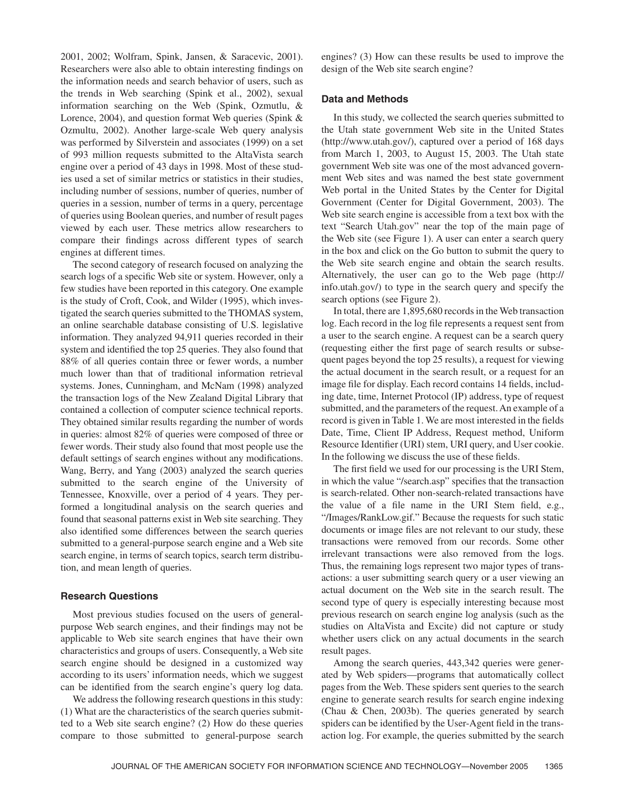2001, 2002; Wolfram, Spink, Jansen, & Saracevic, 2001). Researchers were also able to obtain interesting findings on the information needs and search behavior of users, such as the trends in Web searching (Spink et al., 2002), sexual information searching on the Web (Spink, Ozmutlu, & Lorence, 2004), and question format Web queries (Spink & Ozmultu, 2002). Another large-scale Web query analysis was performed by Silverstein and associates (1999) on a set of 993 million requests submitted to the AltaVista search engine over a period of 43 days in 1998. Most of these studies used a set of similar metrics or statistics in their studies, including number of sessions, number of queries, number of queries in a session, number of terms in a query, percentage of queries using Boolean queries, and number of result pages viewed by each user. These metrics allow researchers to compare their findings across different types of search engines at different times.

The second category of research focused on analyzing the search logs of a specific Web site or system. However, only a few studies have been reported in this category. One example is the study of Croft, Cook, and Wilder (1995), which investigated the search queries submitted to the THOMAS system, an online searchable database consisting of U.S. legislative information. They analyzed 94,911 queries recorded in their system and identified the top 25 queries. They also found that 88% of all queries contain three or fewer words, a number much lower than that of traditional information retrieval systems. Jones, Cunningham, and McNam (1998) analyzed the transaction logs of the New Zealand Digital Library that contained a collection of computer science technical reports. They obtained similar results regarding the number of words in queries: almost 82% of queries were composed of three or fewer words. Their study also found that most people use the default settings of search engines without any modifications. Wang, Berry, and Yang (2003) analyzed the search queries submitted to the search engine of the University of Tennessee, Knoxville, over a period of 4 years. They performed a longitudinal analysis on the search queries and found that seasonal patterns exist in Web site searching. They also identified some differences between the search queries submitted to a general-purpose search engine and a Web site search engine, in terms of search topics, search term distribution, and mean length of queries.

# **Research Questions**

Most previous studies focused on the users of generalpurpose Web search engines, and their findings may not be applicable to Web site search engines that have their own characteristics and groups of users. Consequently, a Web site search engine should be designed in a customized way according to its users' information needs, which we suggest can be identified from the search engine's query log data.

We address the following research questions in this study: (1) What are the characteristics of the search queries submitted to a Web site search engine? (2) How do these queries compare to those submitted to general-purpose search engines? (3) How can these results be used to improve the design of the Web site search engine?

# **Data and Methods**

In this study, we collected the search queries submitted to the Utah state government Web site in the United States (http://www.utah.gov/), captured over a period of 168 days from March 1, 2003, to August 15, 2003. The Utah state government Web site was one of the most advanced government Web sites and was named the best state government Web portal in the United States by the Center for Digital Government (Center for Digital Government, 2003). The Web site search engine is accessible from a text box with the text "Search Utah.gov" near the top of the main page of the Web site (see Figure 1). A user can enter a search query in the box and click on the Go button to submit the query to the Web site search engine and obtain the search results. Alternatively, the user can go to the Web page (http:// info.utah.gov/) to type in the search query and specify the search options (see Figure 2).

In total, there are 1,895,680 records in the Web transaction log. Each record in the log file represents a request sent from a user to the search engine. A request can be a search query (requesting either the first page of search results or subsequent pages beyond the top 25 results), a request for viewing the actual document in the search result, or a request for an image file for display. Each record contains 14 fields, including date, time, Internet Protocol (IP) address, type of request submitted, and the parameters of the request.An example of a record is given in Table 1. We are most interested in the fields Date, Time, Client IP Address, Request method, Uniform Resource Identifier (URI) stem, URI query, and User cookie. In the following we discuss the use of these fields.

The first field we used for our processing is the URI Stem, in which the value "/search.asp" specifies that the transaction is search-related. Other non-search-related transactions have the value of a file name in the URI Stem field, e.g., "/Images/RankLow.gif." Because the requests for such static documents or image files are not relevant to our study, these transactions were removed from our records. Some other irrelevant transactions were also removed from the logs. Thus, the remaining logs represent two major types of transactions: a user submitting search query or a user viewing an actual document on the Web site in the search result. The second type of query is especially interesting because most previous research on search engine log analysis (such as the studies on AltaVista and Excite) did not capture or study whether users click on any actual documents in the search result pages.

Among the search queries, 443,342 queries were generated by Web spiders—programs that automatically collect pages from the Web. These spiders sent queries to the search engine to generate search results for search engine indexing (Chau & Chen, 2003b). The queries generated by search spiders can be identified by the User-Agent field in the transaction log. For example, the queries submitted by the search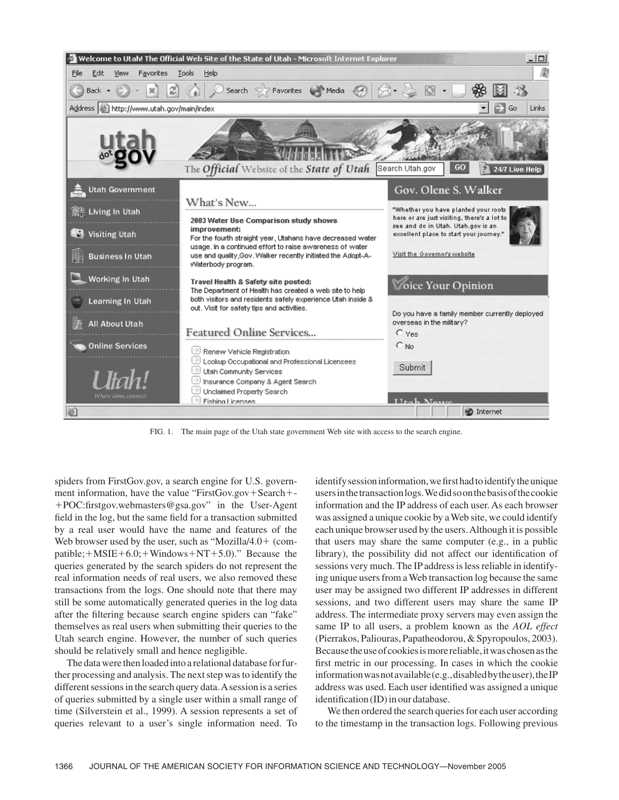

FIG. 1. The main page of the Utah state government Web site with access to the search engine.

spiders from FirstGov.gov, a search engine for U.S. government information, have the value "FirstGov.gov+Search+-POC:firstgov.webmasters@gsa.gov" in the User-Agent field in the log, but the same field for a transaction submitted by a real user would have the name and features of the Web browser used by the user, such as "Mozilla/4.0 + (compatible;  $+MSIE + 6.0$ ;  $+ Windows + NT + 5.0$ )." Because the queries generated by the search spiders do not represent the real information needs of real users, we also removed these transactions from the logs. One should note that there may still be some automatically generated queries in the log data after the filtering because search engine spiders can "fake" themselves as real users when submitting their queries to the Utah search engine. However, the number of such queries should be relatively small and hence negligible.

The data were then loaded into a relational database for further processing and analysis. The next step was to identify the different sessions in the search query data. A session is a series of queries submitted by a single user within a small range of time (Silverstein et al., 1999). A session represents a set of queries relevant to a user's single information need. To

identify session information, we first had to identify the unique usersinthetransactionlogs.Wedidsoonthebasisofthecookie information and the IP address of each user. As each browser was assigned a unique cookie by a Web site, we could identify each unique browser used by the users.Although it is possible that users may share the same computer (e.g., in a public library), the possibility did not affect our identification of sessions very much. The IP address is less reliable in identifying unique users from a Web transaction log because the same user may be assigned two different IP addresses in different sessions, and two different users may share the same IP address. The intermediate proxy servers may even assign the same IP to all users, a problem known as the *AOL effect* (Pierrakos, Paliouras, Papatheodorou, & Spyropoulos, 2003). Because the use of cookies is more reliable, it was chosen as the first metric in our processing. In cases in which the cookie information was not available (e.g., disabled by the user), the IP address was used. Each user identified was assigned a unique identification (ID) in our database.

We then ordered the search queries for each user according to the timestamp in the transaction logs. Following previous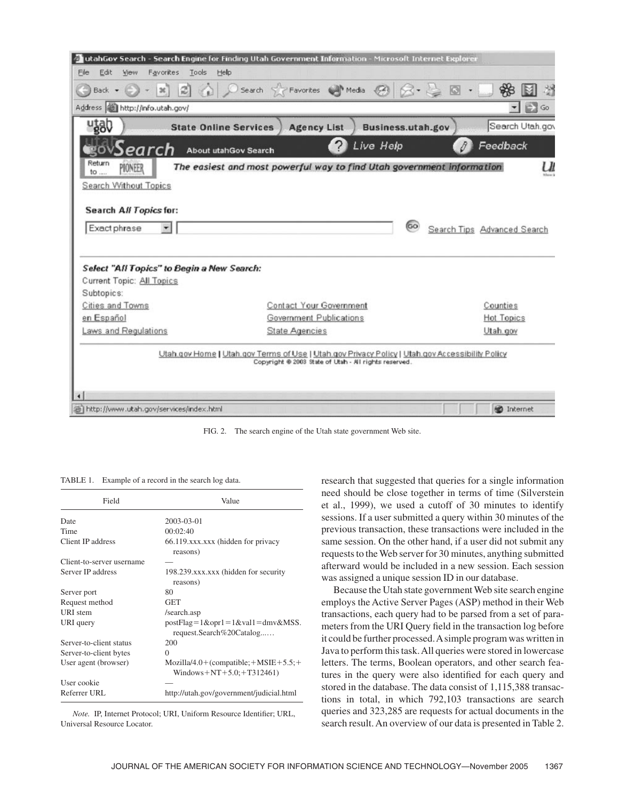| utahGov Search - Search Engine for Finding Utah Government Information - Microsoft Internet Explorer<br>File<br>Edit<br>Favorites<br>Tools<br>View<br>Help |                             |                                                                                                                                                          |                             |
|------------------------------------------------------------------------------------------------------------------------------------------------------------|-----------------------------|----------------------------------------------------------------------------------------------------------------------------------------------------------|-----------------------------|
| $ \widehat{x} $<br>36<br>Back -                                                                                                                            |                             | Search Severites & Media (2)                                                                                                                             | ₩<br>凿                      |
| Address in http://info.utah.gov/                                                                                                                           |                             |                                                                                                                                                          | E<br>$\mathbf{r}$<br>Go     |
|                                                                                                                                                            |                             |                                                                                                                                                          |                             |
| utab<br><b>State Online Services</b>                                                                                                                       |                             | Business.utah.gov<br><b>Agency List</b>                                                                                                                  | Search Utah.gov             |
| earch                                                                                                                                                      | <b>About utahGov Search</b> | Live Help                                                                                                                                                | Feedback<br>R               |
| Return<br>PIONEER<br>to                                                                                                                                    |                             | The easiest and most powerful way to find Utah government information                                                                                    | U                           |
| Search Without Topics                                                                                                                                      |                             |                                                                                                                                                          |                             |
|                                                                                                                                                            |                             |                                                                                                                                                          |                             |
| <b>Search All Topics for:</b>                                                                                                                              |                             |                                                                                                                                                          |                             |
|                                                                                                                                                            |                             | (GO                                                                                                                                                      |                             |
| Exact phrase                                                                                                                                               |                             |                                                                                                                                                          | Search Tips Advanced Search |
|                                                                                                                                                            |                             |                                                                                                                                                          |                             |
|                                                                                                                                                            |                             |                                                                                                                                                          |                             |
| Sefect "All Topics" to Begin a New Search:<br>Current Topic: All Topics                                                                                    |                             |                                                                                                                                                          |                             |
| Subtopics:                                                                                                                                                 |                             |                                                                                                                                                          |                             |
| Cities and Towns                                                                                                                                           |                             | Contact Your Government                                                                                                                                  | Counties                    |
| en Español                                                                                                                                                 |                             | Government Publications                                                                                                                                  | <b>Hot Topics</b>           |
| Laws and Regulations                                                                                                                                       | <b>State Agencies</b>       |                                                                                                                                                          | Utah.gov                    |
|                                                                                                                                                            |                             |                                                                                                                                                          |                             |
|                                                                                                                                                            |                             | Utah.gov Home   Utah.gov Terms of Use   Utah.gov Privacy Policy   Utah.gov Accessibility Policy<br>Copyright @ 2003 State of Utah - All rights reserved. |                             |
|                                                                                                                                                            |                             |                                                                                                                                                          |                             |
|                                                                                                                                                            |                             |                                                                                                                                                          |                             |
| $\blacktriangleleft$                                                                                                                                       |                             |                                                                                                                                                          |                             |
| http://www.utah.gov/services/index.html                                                                                                                    |                             |                                                                                                                                                          | <b>D</b> Internet           |

FIG. 2. The search engine of the Utah state government Web site.

TABLE 1. Example of a record in the search log data.

| Field                     | Value                                                                           |
|---------------------------|---------------------------------------------------------------------------------|
| Date                      | 2003-03-01                                                                      |
| Time                      | 00:02:40                                                                        |
| Client IP address         | 66.119.xxx.xxx (hidden for privacy<br>reasons)                                  |
| Client-to-server username |                                                                                 |
| Server IP address         | 198.239.xxx.xxx (hidden for security<br>reasons)                                |
| Server port               | 80                                                                              |
| Request method            | GET                                                                             |
| <b>URI</b> stem           | /search.asp                                                                     |
| URI query                 | $postFlag = 1\&opt1 = 1\&val1 = dmv\&MSS.$<br>request.Search%20Catalog          |
| Server-to-client status   | 200                                                                             |
| Server-to-client bytes    | $\Omega$                                                                        |
| User agent (browser)      | $Mozilla/4.0 + (compatible; +MSIE + 5.5; +$<br>$Windows + NT + 5.0; + T312461)$ |
| User cookie               |                                                                                 |
| Referrer URL              | http://utah.gov/government/judicial.html                                        |

*Note.* IP, Internet Protocol; URI, Uniform Resource Identifier; URL, Universal Resource Locator.

research that suggested that queries for a single information need should be close together in terms of time (Silverstein et al., 1999), we used a cutoff of 30 minutes to identify sessions. If a user submitted a query within 30 minutes of the previous transaction, these transactions were included in the same session. On the other hand, if a user did not submit any requests to the Web server for 30 minutes, anything submitted afterward would be included in a new session. Each session was assigned a unique session ID in our database.

Because the Utah state government Web site search engine employs the Active Server Pages (ASP) method in their Web transactions, each query had to be parsed from a set of parameters from the URIQuery field in the transaction log before it could be further processed.Asimple program was written in Java to perform this task.All queries were stored in lowercase letters. The terms, Boolean operators, and other search features in the query were also identified for each query and stored in the database. The data consist of 1,115,388 transactions in total, in which 792,103 transactions are search queries and 323,285 are requests for actual documents in the search result. An overview of our data is presented in Table 2.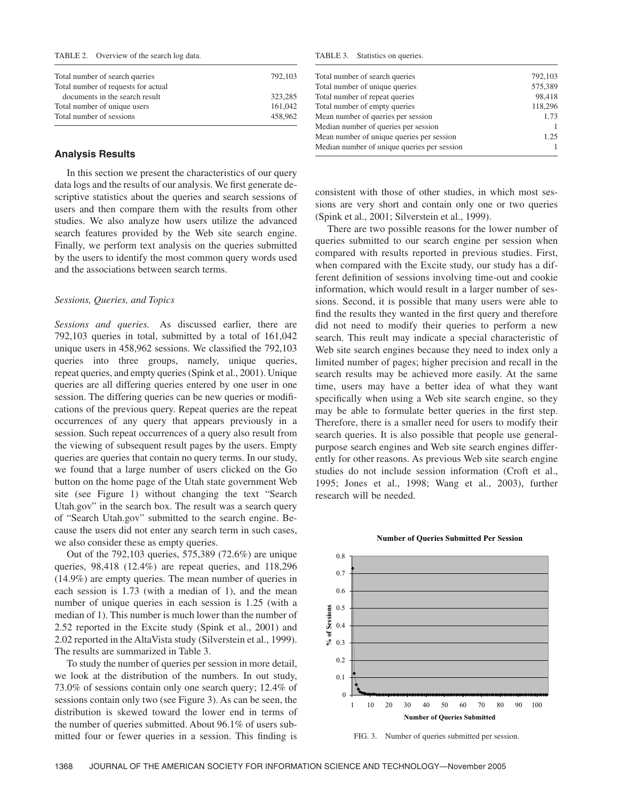| TABLE 2.<br>Overview of the search log data. |  |  |  |  |
|----------------------------------------------|--|--|--|--|
|----------------------------------------------|--|--|--|--|

| Total number of search queries      | 792,103 |
|-------------------------------------|---------|
| Total number of requests for actual |         |
| documents in the search result      | 323,285 |
| Total number of unique users        | 161,042 |
| Total number of sessions            | 458,962 |

# **Analysis Results**

In this section we present the characteristics of our query data logs and the results of our analysis. We first generate descriptive statistics about the queries and search sessions of users and then compare them with the results from other studies. We also analyze how users utilize the advanced search features provided by the Web site search engine. Finally, we perform text analysis on the queries submitted by the users to identify the most common query words used and the associations between search terms.

### *Sessions, Queries, and Topics*

*Sessions and queries.* As discussed earlier, there are 792,103 queries in total, submitted by a total of 161,042 unique users in 458,962 sessions. We classified the 792,103 queries into three groups, namely, unique queries, repeat queries, and empty queries (Spink et al., 2001). Unique queries are all differing queries entered by one user in one session. The differing queries can be new queries or modifications of the previous query. Repeat queries are the repeat occurrences of any query that appears previously in a session. Such repeat occurrences of a query also result from the viewing of subsequent result pages by the users. Empty queries are queries that contain no query terms. In our study, we found that a large number of users clicked on the Go button on the home page of the Utah state government Web site (see Figure 1) without changing the text "Search Utah.gov" in the search box. The result was a search query of "Search Utah.gov" submitted to the search engine. Because the users did not enter any search term in such cases, we also consider these as empty queries.

Out of the 792,103 queries, 575,389 (72.6%) are unique queries, 98,418 (12.4%) are repeat queries, and 118,296 (14.9%) are empty queries. The mean number of queries in each session is 1.73 (with a median of 1), and the mean number of unique queries in each session is 1.25 (with a median of 1). This number is much lower than the number of 2.52 reported in the Excite study (Spink et al., 2001) and 2.02 reported in the AltaVista study (Silverstein et al., 1999). The results are summarized in Table 3.

To study the number of queries per session in more detail, we look at the distribution of the numbers. In out study, 73.0% of sessions contain only one search query; 12.4% of sessions contain only two (see Figure 3). As can be seen, the distribution is skewed toward the lower end in terms of the number of queries submitted. About 96.1% of users submitted four or fewer queries in a session. This finding is

TABLE 3. Statistics on queries.

| Total number of search queries              | 792,103 |
|---------------------------------------------|---------|
| Total number of unique queries              | 575,389 |
| Total number of repeat queries              | 98,418  |
| Total number of empty queries               | 118,296 |
| Mean number of queries per session          | 1.73    |
| Median number of queries per session        |         |
| Mean number of unique queries per session   | 1.25    |
| Median number of unique queries per session |         |

consistent with those of other studies, in which most sessions are very short and contain only one or two queries (Spink et al., 2001; Silverstein et al., 1999).

There are two possible reasons for the lower number of queries submitted to our search engine per session when compared with results reported in previous studies. First, when compared with the Excite study, our study has a different definition of sessions involving time-out and cookie information, which would result in a larger number of sessions. Second, it is possible that many users were able to find the results they wanted in the first query and therefore did not need to modify their queries to perform a new search. This reult may indicate a special characteristic of Web site search engines because they need to index only a limited number of pages; higher precision and recall in the search results may be achieved more easily. At the same time, users may have a better idea of what they want specifically when using a Web site search engine, so they may be able to formulate better queries in the first step. Therefore, there is a smaller need for users to modify their search queries. It is also possible that people use generalpurpose search engines and Web site search engines differently for other reasons. As previous Web site search engine studies do not include session information (Croft et al., 1995; Jones et al., 1998; Wang et al., 2003), further research will be needed.





FIG. 3. Number of queries submitted per session.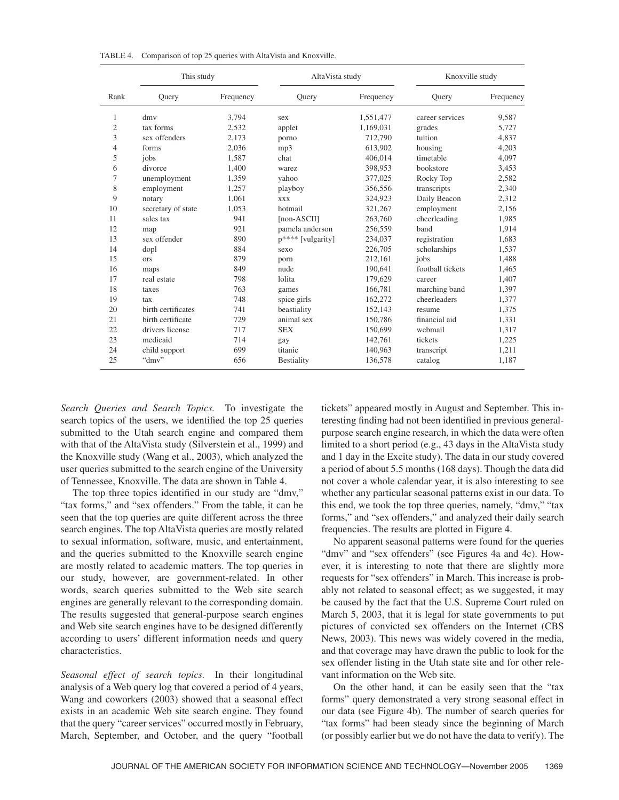|  |  |  |  |  | TABLE 4. Comparison of top 25 queries with AltaVista and Knoxville. |
|--|--|--|--|--|---------------------------------------------------------------------|
|--|--|--|--|--|---------------------------------------------------------------------|

|      | This study         |           | AltaVista study   |           | Knoxville study  |           |
|------|--------------------|-----------|-------------------|-----------|------------------|-----------|
| Rank | Query              | Frequency | Query             | Frequency | Query            | Frequency |
| 1    | dmy                | 3,794     | sex               | 1,551,477 | career services  | 9,587     |
| 2    | tax forms          | 2,532     | applet            | 1,169,031 | grades           | 5,727     |
| 3    | sex offenders      | 2,173     | porno             | 712,790   | tuition          | 4,837     |
| 4    | forms              | 2,036     | mp3               | 613,902   | housing          | 4,203     |
| 5    | jobs               | 1,587     | chat              | 406.014   | timetable        | 4,097     |
| 6    | divorce            | 1,400     | warez             | 398,953   | bookstore        | 3,453     |
| 7    | unemployment       | 1,359     | yahoo             | 377,025   | Rocky Top        | 2,582     |
| 8    | employment         | 1,257     | playboy           | 356,556   | transcripts      | 2,340     |
| 9    | notary             | 1,061     | <b>XXX</b>        | 324,923   | Daily Beacon     | 2,312     |
| 10   | secretary of state | 1,053     | hotmail           | 321,267   | employment       | 2,156     |
| 11   | sales tax          | 941       | $[non-ASCII]$     | 263,760   | cheerleading     | 1,985     |
| 12   | map                | 921       | pamela anderson   | 256,559   | band             | 1,914     |
| 13   | sex offender       | 890       | p**** [vulgarity] | 234,037   | registration     | 1,683     |
| 14   | dopl               | 884       | sexo              | 226,705   | scholarships     | 1,537     |
| 15   | ors                | 879       | porn              | 212,161   | jobs             | 1,488     |
| 16   | maps               | 849       | nude              | 190,641   | football tickets | 1,465     |
| 17   | real estate        | 798       | lolita            | 179,629   | career           | 1,407     |
| 18   | taxes              | 763       | games             | 166,781   | marching band    | 1,397     |
| 19   | tax                | 748       | spice girls       | 162,272   | cheerleaders     | 1,377     |
| 20   | birth certificates | 741       | beastiality       | 152,143   | resume           | 1,375     |
| 21   | birth certificate  | 729       | animal sex        | 150,786   | financial aid    | 1,331     |
| 22   | drivers license    | 717       | <b>SEX</b>        | 150,699   | webmail          | 1,317     |
| 23   | medicaid           | 714       | gay               | 142,761   | tickets          | 1,225     |
| 24   | child support      | 699       | titanic           | 140,963   | transcript       | 1,211     |
| 25   | "dmy"              | 656       | <b>Bestiality</b> | 136,578   | catalog          | 1,187     |

*Search Queries and Search Topics.* To investigate the search topics of the users, we identified the top 25 queries submitted to the Utah search engine and compared them with that of the AltaVista study (Silverstein et al., 1999) and the Knoxville study (Wang et al., 2003), which analyzed the user queries submitted to the search engine of the University of Tennessee, Knoxville. The data are shown in Table 4.

The top three topics identified in our study are "dmv," "tax forms," and "sex offenders." From the table, it can be seen that the top queries are quite different across the three search engines. The top AltaVista queries are mostly related to sexual information, software, music, and entertainment, and the queries submitted to the Knoxville search engine are mostly related to academic matters. The top queries in our study, however, are government-related. In other words, search queries submitted to the Web site search engines are generally relevant to the corresponding domain. The results suggested that general-purpose search engines and Web site search engines have to be designed differently according to users' different information needs and query characteristics.

*Seasonal effect of search topics.* In their longitudinal analysis of a Web query log that covered a period of 4 years, Wang and coworkers (2003) showed that a seasonal effect exists in an academic Web site search engine. They found that the query "career services" occurred mostly in February, March, September, and October, and the query "football

tickets" appeared mostly in August and September. This interesting finding had not been identified in previous generalpurpose search engine research, in which the data were often limited to a short period (e.g., 43 days in the AltaVista study and 1 day in the Excite study). The data in our study covered a period of about 5.5 months (168 days). Though the data did not cover a whole calendar year, it is also interesting to see whether any particular seasonal patterns exist in our data. To this end, we took the top three queries, namely, "dmv," "tax forms," and "sex offenders," and analyzed their daily search frequencies. The results are plotted in Figure 4.

No apparent seasonal patterns were found for the queries "dmv" and "sex offenders" (see Figures 4a and 4c). However, it is interesting to note that there are slightly more requests for "sex offenders" in March. This increase is probably not related to seasonal effect; as we suggested, it may be caused by the fact that the U.S. Supreme Court ruled on March 5, 2003, that it is legal for state governments to put pictures of convicted sex offenders on the Internet (CBS News, 2003). This news was widely covered in the media, and that coverage may have drawn the public to look for the sex offender listing in the Utah state site and for other relevant information on the Web site.

On the other hand, it can be easily seen that the "tax forms" query demonstrated a very strong seasonal effect in our data (see Figure 4b). The number of search queries for "tax forms" had been steady since the beginning of March (or possibly earlier but we do not have the data to verify). The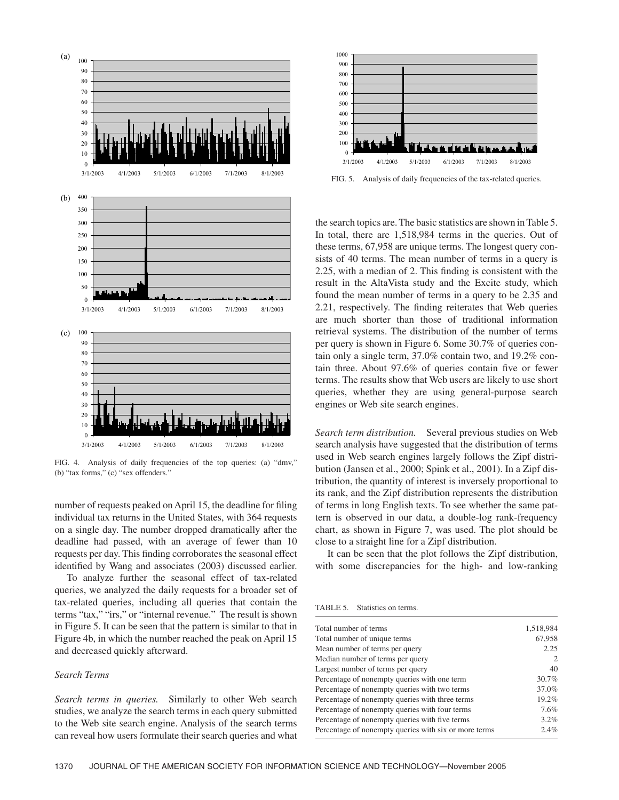

FIG. 4. Analysis of daily frequencies of the top queries: (a) "dmv," (b) "tax forms," (c) "sex offenders."

number of requests peaked on April 15, the deadline for filing individual tax returns in the United States, with 364 requests on a single day. The number dropped dramatically after the deadline had passed, with an average of fewer than 10 requests per day. This finding corroborates the seasonal effect identified by Wang and associates (2003) discussed earlier.

To analyze further the seasonal effect of tax-related queries, we analyzed the daily requests for a broader set of tax-related queries, including all queries that contain the terms "tax," "irs," or "internal revenue." The result is shown in Figure 5. It can be seen that the pattern is similar to that in Figure 4b, in which the number reached the peak on April 15 and decreased quickly afterward.

# *Search Terms*

*Search terms in queries.* Similarly to other Web search studies, we analyze the search terms in each query submitted to the Web site search engine. Analysis of the search terms can reveal how users formulate their search queries and what



FIG. 5. Analysis of daily frequencies of the tax-related queries.

the search topics are. The basic statistics are shown in Table 5. In total, there are 1,518,984 terms in the queries. Out of these terms, 67,958 are unique terms. The longest query consists of 40 terms. The mean number of terms in a query is 2.25, with a median of 2. This finding is consistent with the result in the AltaVista study and the Excite study, which found the mean number of terms in a query to be 2.35 and 2.21, respectively. The finding reiterates that Web queries are much shorter than those of traditional information retrieval systems. The distribution of the number of terms per query is shown in Figure 6. Some 30.7% of queries contain only a single term, 37.0% contain two, and 19.2% contain three. About 97.6% of queries contain five or fewer terms. The results show that Web users are likely to use short queries, whether they are using general-purpose search engines or Web site search engines.

*Search term distribution.* Several previous studies on Web search analysis have suggested that the distribution of terms used in Web search engines largely follows the Zipf distribution (Jansen et al., 2000; Spink et al., 2001). In a Zipf distribution, the quantity of interest is inversely proportional to its rank, and the Zipf distribution represents the distribution of terms in long English texts. To see whether the same pattern is observed in our data, a double-log rank-frequency chart, as shown in Figure 7, was used. The plot should be close to a straight line for a Zipf distribution.

It can be seen that the plot follows the Zipf distribution, with some discrepancies for the high- and low-ranking

| Total number of terms                                 | 1,518,984      |
|-------------------------------------------------------|----------------|
| Total number of unique terms                          | 67,958         |
| Mean number of terms per query                        | 2.25           |
| Median number of terms per query                      | $\overline{2}$ |
| Largest number of terms per query                     | 40             |
| Percentage of nonempty queries with one term          | 30.7%          |
| Percentage of nonempty queries with two terms         | 37.0%          |
| Percentage of nonempty queries with three terms       | 19.2%          |
| Percentage of nonempty queries with four terms        | 7.6%           |
| Percentage of nonempty queries with five terms        | 3.2%           |
| Percentage of nonempty queries with six or more terms | 2.4%           |
|                                                       |                |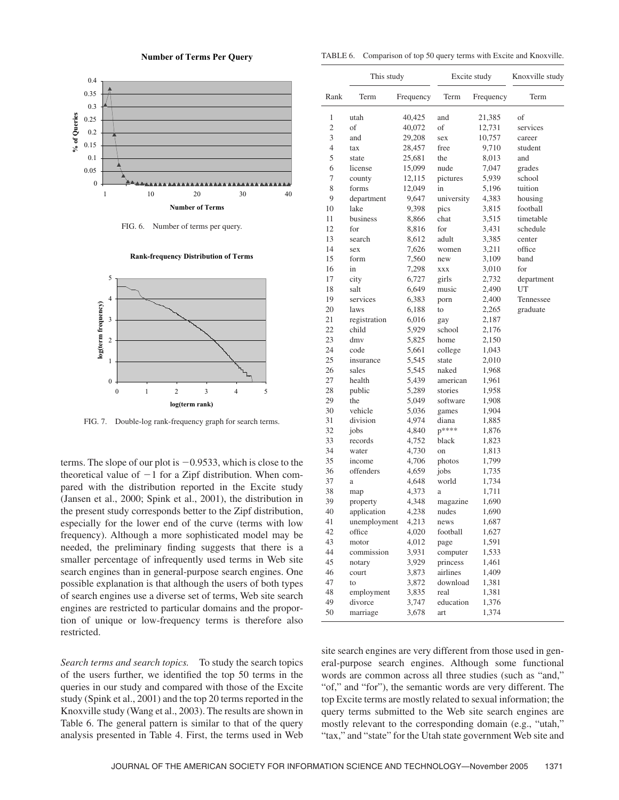

#### **Number of Terms Per Query**

FIG. 6. Number of terms per query.

**Rank-frequency Distribution of Terms**



FIG. 7. Double-log rank-frequency graph for search terms.

terms. The slope of our plot is  $-0.9533$ , which is close to the theoretical value of  $-1$  for a Zipf distribution. When compared with the distribution reported in the Excite study (Jansen et al., 2000; Spink et al., 2001), the distribution in the present study corresponds better to the Zipf distribution, especially for the lower end of the curve (terms with low frequency). Although a more sophisticated model may be needed, the preliminary finding suggests that there is a smaller percentage of infrequently used terms in Web site search engines than in general-purpose search engines. One possible explanation is that although the users of both types of search engines use a diverse set of terms, Web site search engines are restricted to particular domains and the proportion of unique or low-frequency terms is therefore also restricted.

*Search terms and search topics.* To study the search topics of the users further, we identified the top 50 terms in the queries in our study and compared with those of the Excite study (Spink et al., 2001) and the top 20 terms reported in the Knoxville study (Wang et al., 2003). The results are shown in Table 6. The general pattern is similar to that of the query analysis presented in Table 4. First, the terms used in Web

|  |  |  | TABLE 6. Comparison of top 50 query terms with Excite and Knoxville. |
|--|--|--|----------------------------------------------------------------------|
|--|--|--|----------------------------------------------------------------------|

|                | This study              |                |               | Excite study   | Knoxville study |  |
|----------------|-------------------------|----------------|---------------|----------------|-----------------|--|
| Rank           | Term                    | Frequency      | Term          | Frequency      | Term            |  |
| 1              | utah                    | 40,425         | and           | 21,385         | of              |  |
| $\overline{c}$ | of                      | 40,072         | of            | 12,731         | services        |  |
| 3              | and                     | 29,208         | sex           | 10,757         | career          |  |
| 4              | tax                     | 28,457         | free          | 9,710          | student         |  |
| 5              | state                   | 25,681         | the           | 8,013          | and             |  |
| 6              | license                 | 15,099         | nude          | 7,047          | grades          |  |
| 7              | county                  | 12,115         | pictures      | 5,939          | school          |  |
| 8              | forms                   | 12,049         | in            | 5,196          | tuition         |  |
| 9              | department              | 9,647          | university    | 4,383          | housing         |  |
| 10             | lake                    | 9,398          | pics          | 3,815          | football        |  |
| 11             | business                | 8,866          | chat          | 3,515          | timetable       |  |
| 12             | for                     | 8,816          | for           | 3,431          | schedule        |  |
| 13             | search                  | 8,612          | adult         | 3,385          | center          |  |
| 14             | sex                     | 7,626          | women         | 3,211          | office          |  |
| 15             | form                    | 7,560          | new           | 3,109          | band            |  |
| 16             | in                      | 7,298          | <b>XXX</b>    | 3,010          | for             |  |
| 17             | city                    | 6,727          | girls         | 2,732          | department      |  |
| 18             | salt                    | 6,649          | music         | 2,490          | UT              |  |
| 19             | services                | 6,383          | porn          | 2,400          | Tennessee       |  |
| 20             | laws                    | 6,188          | to            | 2,265          | graduate        |  |
| 21             | registration            | 6,016          | gay           | 2,187          |                 |  |
| 22             | child                   | 5,929          | school        | 2,176          |                 |  |
| 23             | dmv                     | 5,825          | home          | 2,150          |                 |  |
| 24             | code                    | 5,661          | college       | 1,043          |                 |  |
| 25             | insurance               | 5,545          | state         | 2,010          |                 |  |
| 26             | sales                   | 5,545          | naked         | 1,968          |                 |  |
| 27             | health                  | 5,439          | american      | 1,961          |                 |  |
| 28             | public                  | 5,289          | stories       | 1,958          |                 |  |
| 29             | the                     | 5,049          | software      | 1,908          |                 |  |
| 30             | vehicle                 | 5,036          | games         | 1,904          |                 |  |
| 31             | division                | 4,974          | diana         | 1,885          |                 |  |
| 32             | jobs                    | 4,840          | $p***$        | 1,876          |                 |  |
| 33             | records                 | 4,752          | black         | 1,823          |                 |  |
| 34             | water                   | 4,730          | on            | 1,813          |                 |  |
| 35             | income                  | 4,706          | photos        | 1,799          |                 |  |
| 36             | offenders               | 4,659          | jobs          | 1,735          |                 |  |
| 37             |                         | 4,648          | world         |                |                 |  |
|                | a                       |                |               | 1,734          |                 |  |
| 38<br>39       | map                     | 4,373<br>4,348 | a<br>magazine | 1,711<br>1,690 |                 |  |
| 40             | property<br>application | 4,238          |               | 1,690          |                 |  |
| 41             |                         | 4,213          | nudes         |                |                 |  |
| 42             | unemployment<br>office  |                | news          | 1,687          |                 |  |
| 43             | motor                   | 4,020<br>4,012 | football      | 1,627          |                 |  |
| 44             |                         |                | page          | 1,591          |                 |  |
|                | commission              | 3,931          | computer      | 1,533          |                 |  |
| 45             | notary                  | 3,929          | princess      | 1,461          |                 |  |
| 46             | court                   | 3,873          | airlines      | 1,409          |                 |  |
| 47             | to                      | 3,872          | download      | 1,381          |                 |  |
| 48             | employment              | 3,835          | real          | 1,381          |                 |  |
| 49             | divorce                 | 3,747          | education     | 1,376          |                 |  |
| 50             | marriage                | 3,678          | art           | 1,374          |                 |  |

site search engines are very different from those used in general-purpose search engines. Although some functional words are common across all three studies (such as "and," "of," and "for"), the semantic words are very different. The top Excite terms are mostly related to sexual information; the query terms submitted to the Web site search engines are mostly relevant to the corresponding domain (e.g., "utah," "tax," and "state" for the Utah state government Web site and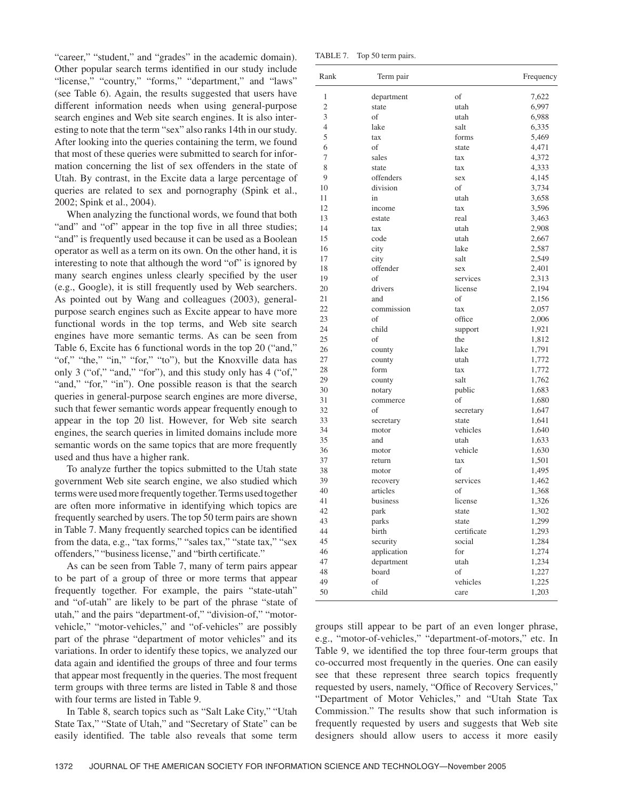"career," "student," and "grades" in the academic domain). Other popular search terms identified in our study include "license," "country," "forms," "department," and "laws" (see Table 6). Again, the results suggested that users have different information needs when using general-purpose search engines and Web site search engines. It is also interesting to note that the term "sex" also ranks 14th in our study. After looking into the queries containing the term, we found that most of these queries were submitted to search for information concerning the list of sex offenders in the state of Utah. By contrast, in the Excite data a large percentage of queries are related to sex and pornography (Spink et al., 2002; Spink et al., 2004).

When analyzing the functional words, we found that both "and" and "of" appear in the top five in all three studies; "and" is frequently used because it can be used as a Boolean operator as well as a term on its own. On the other hand, it is interesting to note that although the word "of" is ignored by many search engines unless clearly specified by the user (e.g., Google), it is still frequently used by Web searchers. As pointed out by Wang and colleagues (2003), generalpurpose search engines such as Excite appear to have more functional words in the top terms, and Web site search engines have more semantic terms. As can be seen from Table 6, Excite has 6 functional words in the top 20 ("and," "of," "the," "in," "for," "to"), but the Knoxville data has only 3 ("of," "and," "for"), and this study only has 4 ("of," "and," "for," "in"). One possible reason is that the search queries in general-purpose search engines are more diverse, such that fewer semantic words appear frequently enough to appear in the top 20 list. However, for Web site search engines, the search queries in limited domains include more semantic words on the same topics that are more frequently used and thus have a higher rank.

To analyze further the topics submitted to the Utah state government Web site search engine, we also studied which terms were used more frequently together.Terms used together are often more informative in identifying which topics are frequently searched by users. The top 50 term pairs are shown in Table 7. Many frequently searched topics can be identified from the data, e.g., "tax forms," "sales tax," "state tax," "sex offenders," "business license," and "birth certificate."

As can be seen from Table 7, many of term pairs appear to be part of a group of three or more terms that appear frequently together. For example, the pairs "state-utah" and "of-utah" are likely to be part of the phrase "state of utah," and the pairs "department-of," "division-of," "motorvehicle," "motor-vehicles," and "of-vehicles" are possibly part of the phrase "department of motor vehicles" and its variations. In order to identify these topics, we analyzed our data again and identified the groups of three and four terms that appear most frequently in the queries. The most frequent term groups with three terms are listed in Table 8 and those with four terms are listed in Table 9.

In Table 8, search topics such as "Salt Lake City," "Utah State Tax," "State of Utah," and "Secretary of State" can be easily identified. The table also reveals that some term

TABLE 7. Top 50 term pairs.

| Rank           | Term pair   |             | Frequency |
|----------------|-------------|-------------|-----------|
| 1              | department  | of          | 7,622     |
| $\overline{2}$ | state       | utah        | 6,997     |
| 3              | οf          | utah        | 6,988     |
| $\overline{4}$ | lake        | salt        | 6,335     |
| 5              | tax         | forms       | 5,469     |
| 6              | οf          | state       | 4,471     |
| $\overline{7}$ | sales       | tax         | 4,372     |
| 8              | state       | tax         | 4,333     |
| 9              | offenders   | sex         | 4,145     |
| 10             | division    | of          | 3,734     |
| 11             | in          | utah        | 3,658     |
| 12             | income      | tax         | 3,596     |
| 13             | estate      | real        | 3,463     |
| 14             | tax         | utah        | 2,908     |
| 15             | code        | utah        | 2,667     |
| 16             | city        | lake        | 2,587     |
| 17             | city        | salt        | 2,549     |
| 18             | offender    | sex         | 2,401     |
| 19             | of          | services    | 2,313     |
| 20             | drivers     | license     | 2,194     |
| 21             | and         | of          | 2,156     |
| 22             | commission  | tax         | 2,057     |
| 23             | of          | office      | 2,006     |
| 24             | child       | support     | 1,921     |
| 25             | οf          | the         | 1,812     |
| 26             | county      | lake        | 1,791     |
| 27             | county      | utah        | 1,772     |
| 28             | form        | tax         | 1,772     |
| 29             | county      | salt        | 1,762     |
| 30             | notary      | public      | 1,683     |
| 31             | commerce    | of          | 1,680     |
| 32             | of          | secretary   | 1,647     |
| 33             | secretary   | state       | 1,641     |
| 34             | motor       | vehicles    | 1,640     |
| 35             | and         | utah        | 1,633     |
| 36             | motor       | vehicle     | 1,630     |
| 37             | return      | tax         | 1,501     |
| 38             | motor       | of          | 1,495     |
| 39             | recovery    | services    | 1,462     |
| 40             | articles    | of          | 1,368     |
| 41             | business    | license     | 1,326     |
| 42             | park        | state       | 1,302     |
| 43             | parks       | state       | 1,299     |
| 44             | birth       | certificate | 1,293     |
| 45             | security    | social      | 1,284     |
| 46             | application | for         | 1,274     |
| 47             | department  | utah        | 1,234     |
| 48             | board       | of          | 1,227     |
| 49             | of          | vehicles    | 1,225     |
| 50             | child       | care        | 1,203     |

groups still appear to be part of an even longer phrase, e.g., "motor-of-vehicles," "department-of-motors," etc. In Table 9, we identified the top three four-term groups that co-occurred most frequently in the queries. One can easily see that these represent three search topics frequently requested by users, namely, "Office of Recovery Services," "Department of Motor Vehicles," and "Utah State Tax Commission." The results show that such information is frequently requested by users and suggests that Web site designers should allow users to access it more easily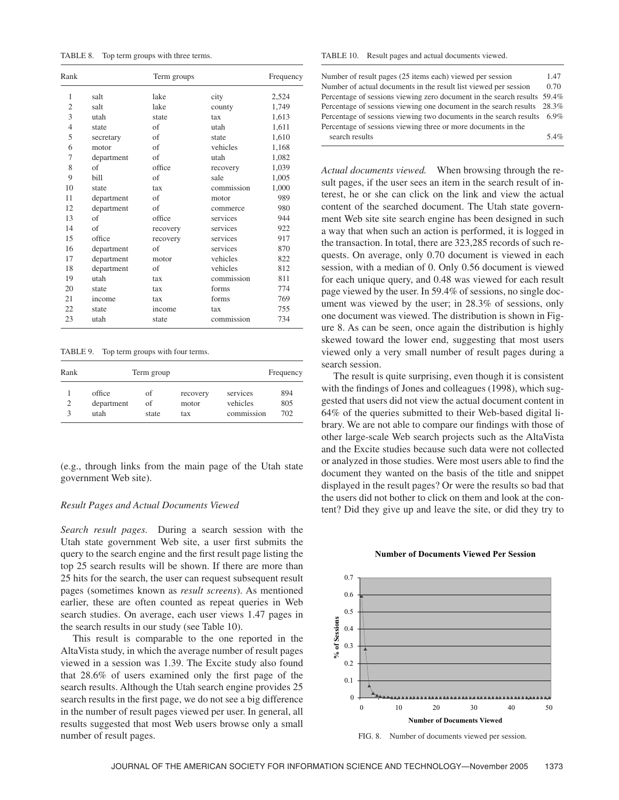| TABLE 8. | Top term groups with three terms. |  |  |  |  |
|----------|-----------------------------------|--|--|--|--|
|----------|-----------------------------------|--|--|--|--|

| Rank           |            | Term groups |            | Frequency |
|----------------|------------|-------------|------------|-----------|
| 1              | salt       | lake        | city       | 2,524     |
| 2              | salt       | lake        | county     | 1,749     |
| 3              | utah       | state       | tax        | 1,613     |
| $\overline{4}$ | state      | of          | utah       | 1,611     |
| 5              | secretary  | of          | state      | 1,610     |
| 6              | motor      | of          | vehicles   | 1,168     |
| 7              | department | of          | utah       | 1,082     |
| 8              | of         | office      | recovery   | 1,039     |
| 9              | bill       | of          | sale       | 1,005     |
| 10             | state      | tax         | commission | 1,000     |
| 11             | department | of          | motor      | 989       |
| 12             | department | of          | commerce   | 980       |
| 13             | $\sigma$ f | office      | services   | 944       |
| 14             | of         | recovery    | services   | 922       |
| 15             | office     | recovery    | services   | 917       |
| 16             | department | of          | services   | 870       |
| 17             | department | motor       | vehicles   | 822       |
| 18             | department | of          | vehicles   | 812       |
| 19             | utah       | tax         | commission | 811       |
| 20             | state      | tax         | forms      | 774       |
| 21             | income     | tax         | forms      | 769       |
| 22             | state      | income      | tax        | 755       |
| 23             | utah       | state       | commission | 734       |

TABLE 9. Top term groups with four terms.

| Rank |            | Term group |          |            | Frequency |
|------|------------|------------|----------|------------|-----------|
|      | office     | of         | recovery | services   | 894       |
| 2    | department | of         | motor    | vehicles   | 805       |
| 3    | utah       | state      | tax      | commission | 702       |

(e.g., through links from the main page of the Utah state government Web site).

#### *Result Pages and Actual Documents Viewed*

*Search result pages.* During a search session with the Utah state government Web site, a user first submits the query to the search engine and the first result page listing the top 25 search results will be shown. If there are more than 25 hits for the search, the user can request subsequent result pages (sometimes known as *result screens*). As mentioned earlier, these are often counted as repeat queries in Web search studies. On average, each user views 1.47 pages in the search results in our study (see Table 10).

This result is comparable to the one reported in the AltaVista study, in which the average number of result pages viewed in a session was 1.39. The Excite study also found that 28.6% of users examined only the first page of the search results. Although the Utah search engine provides 25 search results in the first page, we do not see a big difference in the number of result pages viewed per user. In general, all results suggested that most Web users browse only a small number of result pages.

#### TABLE 10. Result pages and actual documents viewed.

| Number of result pages (25 items each) viewed per session                | 1.47    |
|--------------------------------------------------------------------------|---------|
| Number of actual documents in the result list viewed per session         | 0.70    |
| Percentage of sessions viewing zero document in the search results 59.4% |         |
| Percentage of sessions viewing one document in the search results 28.3%  |         |
| Percentage of sessions viewing two documents in the search results 6.9%  |         |
| Percentage of sessions viewing three or more documents in the            |         |
| search results                                                           | $5.4\%$ |

*Actual documents viewed.* When browsing through the result pages, if the user sees an item in the search result of interest, he or she can click on the link and view the actual content of the searched document. The Utah state government Web site site search engine has been designed in such a way that when such an action is performed, it is logged in the transaction. In total, there are 323,285 records of such requests. On average, only 0.70 document is viewed in each session, with a median of 0. Only 0.56 document is viewed for each unique query, and 0.48 was viewed for each result page viewed by the user. In 59.4% of sessions, no single document was viewed by the user; in 28.3% of sessions, only one document was viewed. The distribution is shown in Figure 8. As can be seen, once again the distribution is highly skewed toward the lower end, suggesting that most users viewed only a very small number of result pages during a search session.

The result is quite surprising, even though it is consistent with the findings of Jones and colleagues (1998), which suggested that users did not view the actual document content in 64% of the queries submitted to their Web-based digital library. We are not able to compare our findings with those of other large-scale Web search projects such as the AltaVista and the Excite studies because such data were not collected or analyzed in those studies. Were most users able to find the document they wanted on the basis of the title and snippet displayed in the result pages? Or were the results so bad that the users did not bother to click on them and look at the content? Did they give up and leave the site, or did they try to

**Number of Documents Viewed Per Session**



FIG. 8. Number of documents viewed per session.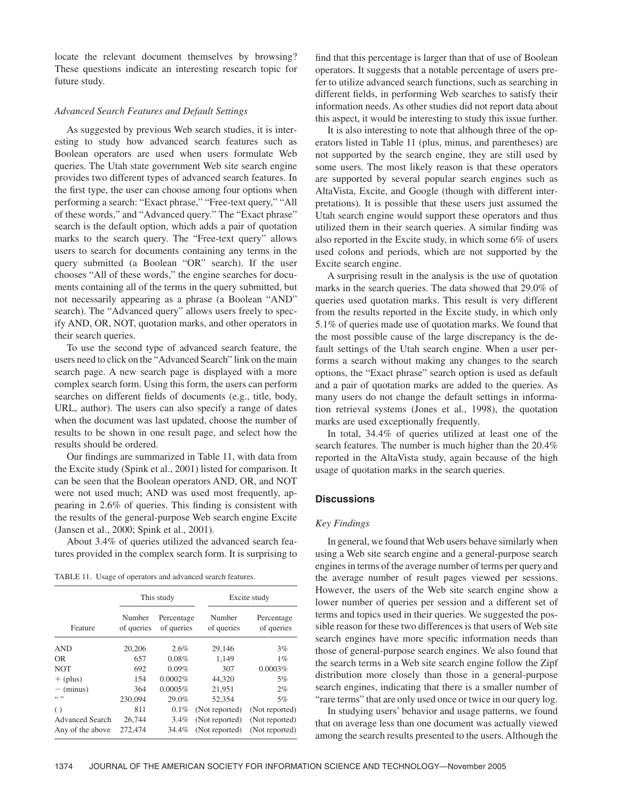locate the relevant document themselves by browsing? These questions indicate an interesting research topic for future study.

#### *Advanced Search Features and Default Settings*

As suggested by previous Web search studies, it is interesting to study how advanced search features such as Boolean operators are used when users formulate Web queries. The Utah state government Web site search engine provides two different types of advanced search features. In the first type, the user can choose among four options when performing a search: "Exact phrase," "Free-text query," "All of these words," and "Advanced query." The "Exact phrase" search is the default option, which adds a pair of quotation marks to the search query. The "Free-text query" allows users to search for documents containing any terms in the query submitted (a Boolean "OR" search). If the user chooses "All of these words," the engine searches for documents containing all of the terms in the query submitted, but not necessarily appearing as a phrase (a Boolean "AND" search). The "Advanced query" allows users freely to specify AND, OR, NOT, quotation marks, and other operators in their search queries.

To use the second type of advanced search feature, the users need to click on the "Advanced Search" link on the main search page. A new search page is displayed with a more complex search form. Using this form, the users can perform searches on different fields of documents (e.g., title, body, URL, author). The users can also specify a range of dates when the document was last updated, choose the number of results to be shown in one result page, and select how the results should be ordered.

Our findings are summarized in Table 11, with data from the Excite study (Spink et al., 2001) listed for comparison. It can be seen that the Boolean operators AND, OR, and NOT were not used much; AND was used most frequently, appearing in 2.6% of queries. This finding is consistent with the results of the general-purpose Web search engine Excite (Jansen et al., 2000; Spink et al., 2001).

About 3.4% of queries utilized the advanced search features provided in the complex search form. It is surprising to

TABLE 11. Usage of operators and advanced search features.

|                        |                      | This study               |                      | Excite study             |  |  |
|------------------------|----------------------|--------------------------|----------------------|--------------------------|--|--|
| Feature                | Number<br>of queries | Percentage<br>of queries | Number<br>of queries | Percentage<br>of queries |  |  |
| <b>AND</b>             | 20,206               | 2.6%                     | 29.146               | 3%                       |  |  |
| OR.                    | 657                  | 0.08%                    | 1,149                | $1\%$                    |  |  |
| <b>NOT</b>             | 692                  | 0.09%                    | 307                  | 0.0003%                  |  |  |
| $+$ (plus)             | 154                  | 0.0002%                  | 44.320               | 5%                       |  |  |
| $-$ (minus)            | 364                  | 0.0005%                  | 21.951               | 2%                       |  |  |
| 66, 99                 | 230,094              | 29.0%                    | 52.354               | 5%                       |  |  |
| $\left( \right)$       | 811                  | 0.1%                     | (Not reported)       | (Not reported)           |  |  |
| <b>Advanced Search</b> | 26,744               | 3.4%                     | (Not reported)       | (Not reported)           |  |  |
| Any of the above       | 272,474              | 34.4%                    | (Not reported)       | (Not reported)           |  |  |

find that this percentage is larger than that of use of Boolean operators. It suggests that a notable percentage of users prefer to utilize advanced search functions, such as searching in different fields, in performing Web searches to satisfy their information needs. As other studies did not report data about this aspect, it would be interesting to study this issue further.

It is also interesting to note that although three of the operators listed in Table 11 (plus, minus, and parentheses) are not supported by the search engine, they are still used by some users. The most likely reason is that these operators are supported by several popular search engines such as AltaVista, Excite, and Google (though with different interpretations). It is possible that these users just assumed the Utah search engine would support these operators and thus utilized them in their search queries. A similar finding was also reported in the Excite study, in which some 6% of users used colons and periods, which are not supported by the Excite search engine.

A surprising result in the analysis is the use of quotation marks in the search queries. The data showed that 29.0% of queries used quotation marks. This result is very different from the results reported in the Excite study, in which only 5.1% of queries made use of quotation marks. We found that the most possible cause of the large discrepancy is the default settings of the Utah search engine. When a user performs a search without making any changes to the search options, the "Exact phrase" search option is used as default and a pair of quotation marks are added to the queries. As many users do not change the default settings in information retrieval systems (Jones et al., 1998), the quotation marks are used exceptionally frequently.

In total, 34.4% of queries utilized at least one of the search features. The number is much higher than the 20.4% reported in the AltaVista study, again because of the high usage of quotation marks in the search queries.

# **Discussions**

# *Key Findings*

In general, we found that Web users behave similarly when using a Web site search engine and a general-purpose search engines in terms of the average number of terms per query and the average number of result pages viewed per sessions. However, the users of the Web site search engine show a lower number of queries per session and a different set of terms and topics used in their queries. We suggested the possible reason for these two differences is that users of Web site search engines have more specific information needs than those of general-purpose search engines. We also found that the search terms in a Web site search engine follow the Zipf distribution more closely than those in a general-purpose search engines, indicating that there is a smaller number of "rare terms" that are only used once or twice in our query log.

In studying users' behavior and usage patterns, we found that on average less than one document was actually viewed among the search results presented to the users. Although the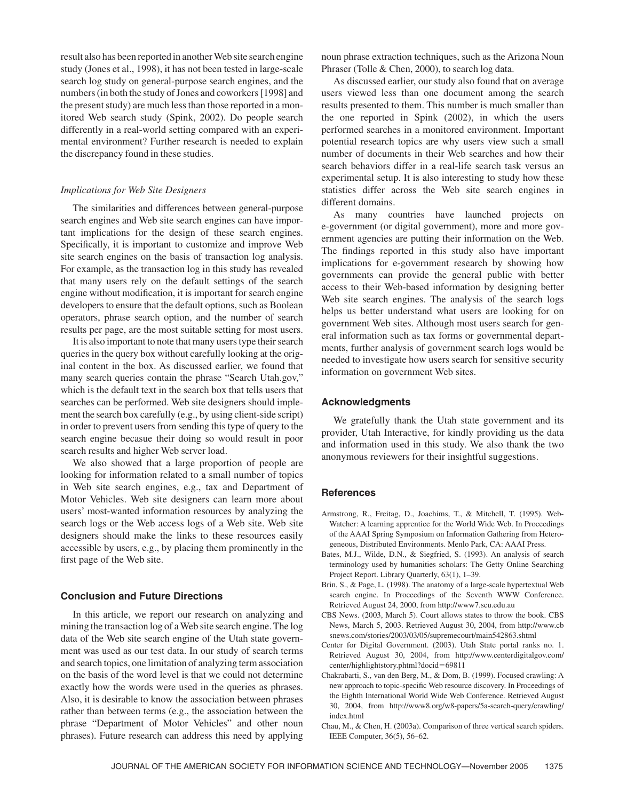result also has been reported in another Web site search engine study (Jones et al., 1998), it has not been tested in large-scale search log study on general-purpose search engines, and the numbers (in both the study of Jones and coworkers [1998] and the present study) are much less than those reported in a monitored Web search study (Spink, 2002). Do people search differently in a real-world setting compared with an experimental environment? Further research is needed to explain the discrepancy found in these studies.

#### *Implications for Web Site Designers*

The similarities and differences between general-purpose search engines and Web site search engines can have important implications for the design of these search engines. Specifically, it is important to customize and improve Web site search engines on the basis of transaction log analysis. For example, as the transaction log in this study has revealed that many users rely on the default settings of the search engine without modification, it is important for search engine developers to ensure that the default options, such as Boolean operators, phrase search option, and the number of search results per page, are the most suitable setting for most users.

It is also important to note that many users type their search queries in the query box without carefully looking at the original content in the box. As discussed earlier, we found that many search queries contain the phrase "Search Utah.gov," which is the default text in the search box that tells users that searches can be performed. Web site designers should implement the search box carefully (e.g., by using client-side script) in order to prevent users from sending this type of query to the search engine becasue their doing so would result in poor search results and higher Web server load.

We also showed that a large proportion of people are looking for information related to a small number of topics in Web site search engines, e.g., tax and Department of Motor Vehicles. Web site designers can learn more about users' most-wanted information resources by analyzing the search logs or the Web access logs of a Web site. Web site designers should make the links to these resources easily accessible by users, e.g., by placing them prominently in the first page of the Web site.

# **Conclusion and Future Directions**

In this article, we report our research on analyzing and mining the transaction log of a Web site search engine. The log data of the Web site search engine of the Utah state government was used as our test data. In our study of search terms and search topics, one limitation of analyzing term association on the basis of the word level is that we could not determine exactly how the words were used in the queries as phrases. Also, it is desirable to know the association between phrases rather than between terms (e.g., the association between the phrase "Department of Motor Vehicles" and other noun phrases). Future research can address this need by applying

noun phrase extraction techniques, such as the Arizona Noun Phraser (Tolle & Chen, 2000), to search log data.

As discussed earlier, our study also found that on average users viewed less than one document among the search results presented to them. This number is much smaller than the one reported in Spink (2002), in which the users performed searches in a monitored environment. Important potential research topics are why users view such a small number of documents in their Web searches and how their search behaviors differ in a real-life search task versus an experimental setup. It is also interesting to study how these statistics differ across the Web site search engines in different domains.

As many countries have launched projects on e-government (or digital government), more and more government agencies are putting their information on the Web. The findings reported in this study also have important implications for e-government research by showing how governments can provide the general public with better access to their Web-based information by designing better Web site search engines. The analysis of the search logs helps us better understand what users are looking for on government Web sites. Although most users search for general information such as tax forms or governmental departments, further analysis of government search logs would be needed to investigate how users search for sensitive security information on government Web sites.

#### **Acknowledgments**

We gratefully thank the Utah state government and its provider, Utah Interactive, for kindly providing us the data and information used in this study. We also thank the two anonymous reviewers for their insightful suggestions.

# **References**

- Armstrong, R., Freitag, D., Joachims, T., & Mitchell, T. (1995). Web-Watcher: A learning apprentice for the World Wide Web. In Proceedings of the AAAI Spring Symposium on Information Gathering from Heterogeneous, Distributed Environments. Menlo Park, CA: AAAI Press.
- Bates, M.J., Wilde, D.N., & Siegfried, S. (1993). An analysis of search terminology used by humanities scholars: The Getty Online Searching Project Report. Library Quarterly, 63(1), 1–39.
- Brin, S., & Page, L. (1998). The anatomy of a large-scale hypertextual Web search engine. In Proceedings of the Seventh WWW Conference. Retrieved August 24, 2000, from http://www7.scu.edu.au
- CBS News. (2003, March 5). Court allows states to throw the book. CBS News, March 5, 2003. Retrieved August 30, 2004, from http://www.cb snews.com/stories/2003/03/05/supremecourt/main542863.shtml
- Center for Digital Government. (2003). Utah State portal ranks no. 1. Retrieved August 30, 2004, from http://www.centerdigitalgov.com/ center/highlightstory.phtml?docid-69811
- Chakrabarti, S., van den Berg, M., & Dom, B. (1999). Focused crawling: A new approach to topic-specific Web resource discovery. In Proceedings of the Eighth International World Wide Web Conference. Retrieved August 30, 2004, from http://www8.org/w8-papers/5a-search-query/crawling/ index.html
- Chau, M., & Chen, H. (2003a). Comparison of three vertical search spiders. IEEE Computer, 36(5), 56–62.